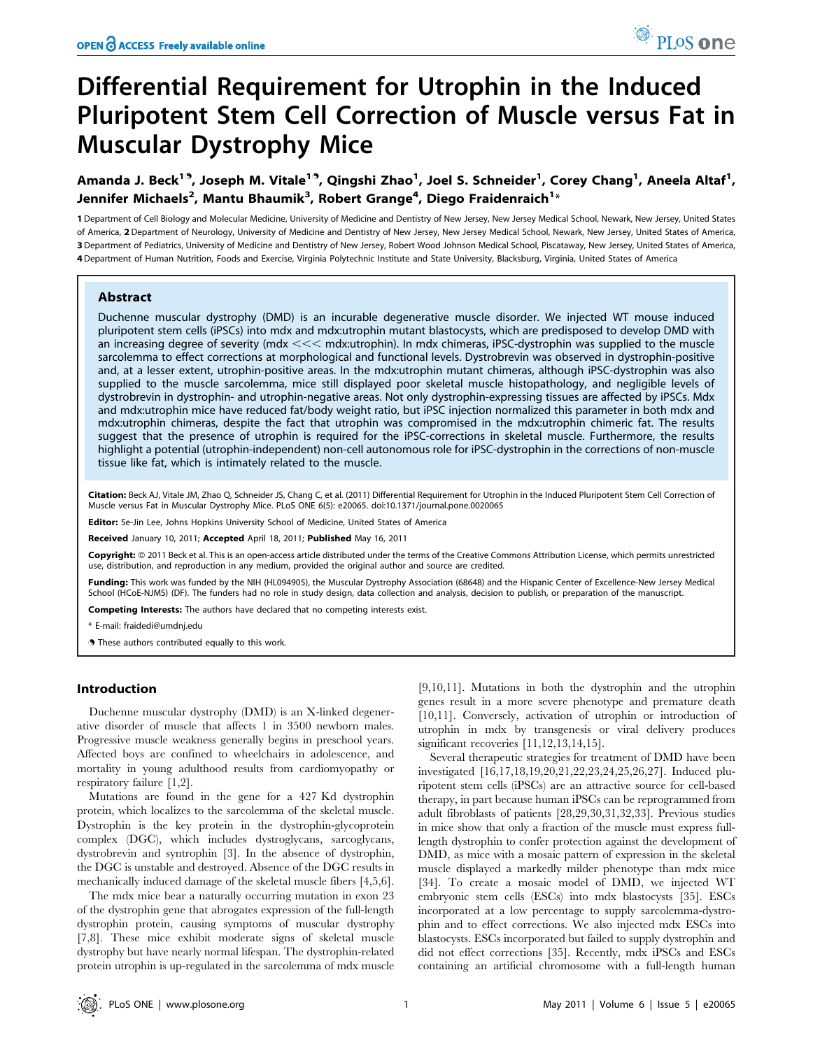# Differential Requirement for Utrophin in the Induced Pluripotent Stem Cell Correction of Muscle versus Fat in Muscular Dystrophy Mice

Amanda J. Beck<sup>19</sup>, Joseph M. Vitale<sup>19</sup>, Qingshi Zhao<sup>1</sup>, Joel S. Schneider<sup>1</sup>, Corey Chang<sup>1</sup>, Aneela Altaf<sup>1</sup>, Jennifer Michaels<sup>2</sup>, Mantu Bhaumik<sup>3</sup>, Robert Grange<sup>4</sup>, Diego Fraidenraich<sup>1</sup>\*

 Department of Cell Biology and Molecular Medicine, University of Medicine and Dentistry of New Jersey, New Jersey Medical School, Newark, New Jersey, United States of America, 2 Department of Neurology, University of Medicine and Dentistry of New Jersey, New Jersey Medical School, Newark, New Jersey, United States of America, Department of Pediatrics, University of Medicine and Dentistry of New Jersey, Robert Wood Johnson Medical School, Piscataway, New Jersey, United States of America, Department of Human Nutrition, Foods and Exercise, Virginia Polytechnic Institute and State University, Blacksburg, Virginia, United States of America

# Abstract

Duchenne muscular dystrophy (DMD) is an incurable degenerative muscle disorder. We injected WT mouse induced pluripotent stem cells (iPSCs) into mdx and mdx:utrophin mutant blastocysts, which are predisposed to develop DMD with an increasing degree of severity (mdx  $<<$  mdx:utrophin). In mdx chimeras, iPSC-dystrophin was supplied to the muscle sarcolemma to effect corrections at morphological and functional levels. Dystrobrevin was observed in dystrophin-positive and, at a lesser extent, utrophin-positive areas. In the mdx:utrophin mutant chimeras, although iPSC-dystrophin was also supplied to the muscle sarcolemma, mice still displayed poor skeletal muscle histopathology, and negligible levels of dystrobrevin in dystrophin- and utrophin-negative areas. Not only dystrophin-expressing tissues are affected by iPSCs. Mdx and mdx:utrophin mice have reduced fat/body weight ratio, but iPSC injection normalized this parameter in both mdx and mdx:utrophin chimeras, despite the fact that utrophin was compromised in the mdx:utrophin chimeric fat. The results suggest that the presence of utrophin is required for the iPSC-corrections in skeletal muscle. Furthermore, the results highlight a potential (utrophin-independent) non-cell autonomous role for iPSC-dystrophin in the corrections of non-muscle tissue like fat, which is intimately related to the muscle.

Citation: Beck AJ, Vitale JM, Zhao Q, Schneider JS, Chang C, et al. (2011) Differential Requirement for Utrophin in the Induced Pluripotent Stem Cell Correction of Muscle versus Fat in Muscular Dystrophy Mice. PLoS ONE 6(5): e20065. doi:10.1371/journal.pone.0020065

Editor: Se-Jin Lee, Johns Hopkins University School of Medicine, United States of America

Received January 10, 2011; Accepted April 18, 2011; Published May 16, 2011

Copyright: © 2011 Beck et al. This is an open-access article distributed under the terms of the Creative Commons Attribution License, which permits unrestricted use, distribution, and reproduction in any medium, provided the original author and source are credited.

Funding: This work was funded by the NIH (HL094905), the Muscular Dystrophy Association (68648) and the Hispanic Center of Excellence-New Jersey Medical School (HCoE-NJMS) (DF). The funders had no role in study design, data collection and analysis, decision to publish, or preparation of the manuscript.

Competing Interests: The authors have declared that no competing interests exist.

\* E-mail: fraidedi@umdnj.edu

**.** These authors contributed equally to this work.

# Introduction

Duchenne muscular dystrophy (DMD) is an X-linked degenerative disorder of muscle that affects 1 in 3500 newborn males. Progressive muscle weakness generally begins in preschool years. Affected boys are confined to wheelchairs in adolescence, and mortality in young adulthood results from cardiomyopathy or respiratory failure [1,2].

Mutations are found in the gene for a 427 Kd dystrophin protein, which localizes to the sarcolemma of the skeletal muscle. Dystrophin is the key protein in the dystrophin-glycoprotein complex (DGC), which includes dystroglycans, sarcoglycans, dystrobrevin and syntrophin [3]. In the absence of dystrophin, the DGC is unstable and destroyed. Absence of the DGC results in mechanically induced damage of the skeletal muscle fibers [4,5,6].

The mdx mice bear a naturally occurring mutation in exon 23 of the dystrophin gene that abrogates expression of the full-length dystrophin protein, causing symptoms of muscular dystrophy [7,8]. These mice exhibit moderate signs of skeletal muscle dystrophy but have nearly normal lifespan. The dystrophin-related protein utrophin is up-regulated in the sarcolemma of mdx muscle

[9,10,11]. Mutations in both the dystrophin and the utrophin genes result in a more severe phenotype and premature death [10,11]. Conversely, activation of utrophin or introduction of utrophin in mdx by transgenesis or viral delivery produces significant recoveries  $[11,12,13,14,15]$ .

Several therapeutic strategies for treatment of DMD have been investigated [16,17,18,19,20,21,22,23,24,25,26,27]. Induced pluripotent stem cells (iPSCs) are an attractive source for cell-based therapy, in part because human iPSCs can be reprogrammed from adult fibroblasts of patients [28,29,30,31,32,33]. Previous studies in mice show that only a fraction of the muscle must express fulllength dystrophin to confer protection against the development of DMD, as mice with a mosaic pattern of expression in the skeletal muscle displayed a markedly milder phenotype than mdx mice [34]. To create a mosaic model of DMD, we injected WT embryonic stem cells (ESCs) into mdx blastocysts [35]. ESCs incorporated at a low percentage to supply sarcolemma-dystrophin and to effect corrections. We also injected mdx ESCs into blastocysts. ESCs incorporated but failed to supply dystrophin and did not effect corrections [35]. Recently, mdx iPSCs and ESCs containing an artificial chromosome with a full-length human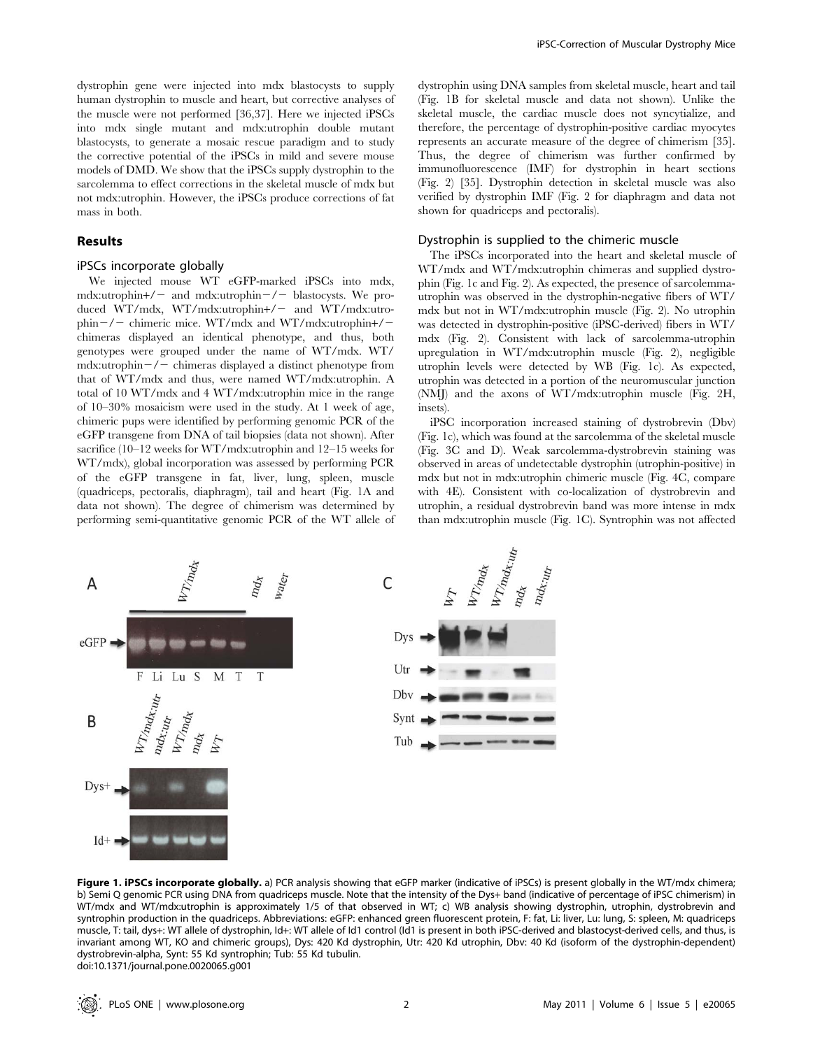dystrophin gene were injected into mdx blastocysts to supply human dystrophin to muscle and heart, but corrective analyses of the muscle were not performed [36,37]. Here we injected iPSCs into mdx single mutant and mdx:utrophin double mutant blastocysts, to generate a mosaic rescue paradigm and to study the corrective potential of the iPSCs in mild and severe mouse models of DMD. We show that the iPSCs supply dystrophin to the sarcolemma to effect corrections in the skeletal muscle of mdx but not mdx:utrophin. However, the iPSCs produce corrections of fat mass in both.

# Results

# iPSCs incorporate globally

We injected mouse WT eGFP-marked iPSCs into mdx, mdx:utrophin+/- and mdx:utrophin-/- blastocysts. We produced WT/mdx, WT/mdx:utrophin+/- and WT/mdx:utrophin $-\prime$  - chimeric mice. WT/mdx and WT/mdx:utrophin+/chimeras displayed an identical phenotype, and thus, both genotypes were grouped under the name of WT/mdx. WT/ mdx:utrophin $-\prime$  chimeras displayed a distinct phenotype from that of WT/mdx and thus, were named WT/mdx:utrophin. A total of 10 WT/mdx and 4 WT/mdx:utrophin mice in the range of 10–30% mosaicism were used in the study. At 1 week of age, chimeric pups were identified by performing genomic PCR of the eGFP transgene from DNA of tail biopsies (data not shown). After sacrifice (10–12 weeks for WT/mdx:utrophin and 12–15 weeks for WT/mdx), global incorporation was assessed by performing PCR of the eGFP transgene in fat, liver, lung, spleen, muscle (quadriceps, pectoralis, diaphragm), tail and heart (Fig. 1A and data not shown). The degree of chimerism was determined by performing semi-quantitative genomic PCR of the WT allele of dystrophin using DNA samples from skeletal muscle, heart and tail (Fig. 1B for skeletal muscle and data not shown). Unlike the skeletal muscle, the cardiac muscle does not syncytialize, and therefore, the percentage of dystrophin-positive cardiac myocytes represents an accurate measure of the degree of chimerism [35]. Thus, the degree of chimerism was further confirmed by immunofluorescence (IMF) for dystrophin in heart sections (Fig. 2) [35]. Dystrophin detection in skeletal muscle was also verified by dystrophin IMF (Fig. 2 for diaphragm and data not shown for quadriceps and pectoralis).

#### Dystrophin is supplied to the chimeric muscle

The iPSCs incorporated into the heart and skeletal muscle of WT/mdx and WT/mdx:utrophin chimeras and supplied dystrophin (Fig. 1c and Fig. 2). As expected, the presence of sarcolemmautrophin was observed in the dystrophin-negative fibers of WT/ mdx but not in WT/mdx:utrophin muscle (Fig. 2). No utrophin was detected in dystrophin-positive (iPSC-derived) fibers in WT/ mdx (Fig. 2). Consistent with lack of sarcolemma-utrophin upregulation in WT/mdx:utrophin muscle (Fig. 2), negligible utrophin levels were detected by WB (Fig. 1c). As expected, utrophin was detected in a portion of the neuromuscular junction (NMJ) and the axons of WT/mdx:utrophin muscle (Fig. 2H, insets).

iPSC incorporation increased staining of dystrobrevin (Dbv) (Fig. 1c), which was found at the sarcolemma of the skeletal muscle (Fig. 3C and D). Weak sarcolemma-dystrobrevin staining was observed in areas of undetectable dystrophin (utrophin-positive) in mdx but not in mdx:utrophin chimeric muscle (Fig. 4C, compare with 4E). Consistent with co-localization of dystrobrevin and utrophin, a residual dystrobrevin band was more intense in mdx than mdx:utrophin muscle (Fig. 1C). Syntrophin was not affected



Figure 1. iPSCs incorporate globally. a) PCR analysis showing that eGFP marker (indicative of iPSCs) is present globally in the WT/mdx chimera; b) Semi Q genomic PCR using DNA from quadriceps muscle. Note that the intensity of the Dys+ band (indicative of percentage of iPSC chimerism) in WT/mdx and WT/mdx:utrophin is approximately 1/5 of that observed in WT; c) WB analysis showing dystrophin, utrophin, dystrobrevin and syntrophin production in the quadriceps. Abbreviations: eGFP: enhanced green fluorescent protein, F: fat, Li: liver, Lu: lung, S: spleen, M: quadriceps muscle, T: tail, dys+: WT allele of dystrophin, Id+: WT allele of Id1 control (Id1 is present in both iPSC-derived and blastocyst-derived cells, and thus, is invariant among WT, KO and chimeric groups), Dys: 420 Kd dystrophin, Utr: 420 Kd utrophin, Dbv: 40 Kd (isoform of the dystrophin-dependent) dystrobrevin-alpha, Synt: 55 Kd syntrophin; Tub: 55 Kd tubulin. doi:10.1371/journal.pone.0020065.g001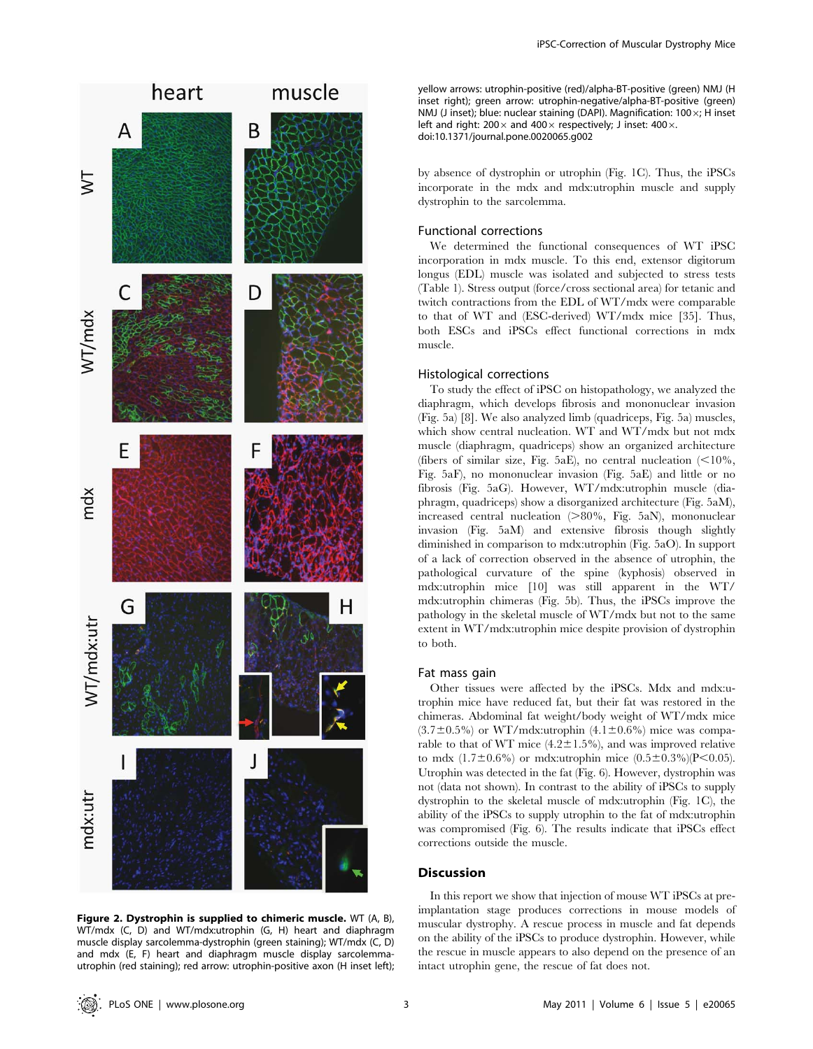

Figure 2. Dystrophin is supplied to chimeric muscle. WT (A, B), WT/mdx (C, D) and WT/mdx:utrophin (G, H) heart and diaphragm muscle display sarcolemma-dystrophin (green staining); WT/mdx (C, D) and mdx (E, F) heart and diaphragm muscle display sarcolemmautrophin (red staining); red arrow: utrophin-positive axon (H inset left);

yellow arrows: utrophin-positive (red)/alpha-BT-positive (green) NMJ (H inset right); green arrow: utrophin-negative/alpha-BT-positive (green) NMJ (J inset); blue: nuclear staining (DAPI). Magnification:  $100 \times$ ; H inset left and right: 200 $\times$  and 400 $\times$  respectively; J inset: 400 $\times$ . doi:10.1371/journal.pone.0020065.g002

by absence of dystrophin or utrophin (Fig. 1C). Thus, the iPSCs incorporate in the mdx and mdx:utrophin muscle and supply dystrophin to the sarcolemma.

# Functional corrections

We determined the functional consequences of WT iPSC incorporation in mdx muscle. To this end, extensor digitorum longus (EDL) muscle was isolated and subjected to stress tests (Table 1). Stress output (force/cross sectional area) for tetanic and twitch contractions from the EDL of WT/mdx were comparable to that of WT and (ESC-derived) WT/mdx mice [35]. Thus, both ESCs and iPSCs effect functional corrections in mdx muscle.

## Histological corrections

To study the effect of iPSC on histopathology, we analyzed the diaphragm, which develops fibrosis and mononuclear invasion (Fig. 5a) [8]. We also analyzed limb (quadriceps, Fig. 5a) muscles, which show central nucleation. WT and WT/mdx but not mdx muscle (diaphragm, quadriceps) show an organized architecture (fibers of similar size, Fig. 5aE), no central nucleation  $\langle$  < 10%, Fig. 5aF), no mononuclear invasion (Fig. 5aE) and little or no fibrosis (Fig. 5aG). However, WT/mdx:utrophin muscle (diaphragm, quadriceps) show a disorganized architecture (Fig. 5aM), increased central nucleation  $(>80\%$ , Fig. 5aN), mononuclear invasion (Fig. 5aM) and extensive fibrosis though slightly diminished in comparison to mdx:utrophin (Fig. 5aO). In support of a lack of correction observed in the absence of utrophin, the pathological curvature of the spine (kyphosis) observed in mdx:utrophin mice [10] was still apparent in the WT/ mdx:utrophin chimeras (Fig. 5b). Thus, the iPSCs improve the pathology in the skeletal muscle of WT/mdx but not to the same extent in WT/mdx:utrophin mice despite provision of dystrophin to both.

## Fat mass gain

Other tissues were affected by the iPSCs. Mdx and mdx:utrophin mice have reduced fat, but their fat was restored in the chimeras. Abdominal fat weight/body weight of WT/mdx mice  $(3.7\pm0.5\%)$  or WT/mdx:utrophin  $(4.1\pm0.6\%)$  mice was comparable to that of WT mice  $(4.2 \pm 1.5\%)$ , and was improved relative to mdx  $(1.7\pm0.6\%)$  or mdx:utrophin mice  $(0.5\pm0.3\%)$ (P<0.05). Utrophin was detected in the fat (Fig. 6). However, dystrophin was not (data not shown). In contrast to the ability of iPSCs to supply dystrophin to the skeletal muscle of mdx:utrophin (Fig. 1C), the ability of the iPSCs to supply utrophin to the fat of mdx:utrophin was compromised (Fig. 6). The results indicate that iPSCs effect corrections outside the muscle.

#### **Discussion**

In this report we show that injection of mouse WT iPSCs at preimplantation stage produces corrections in mouse models of muscular dystrophy. A rescue process in muscle and fat depends on the ability of the iPSCs to produce dystrophin. However, while the rescue in muscle appears to also depend on the presence of an intact utrophin gene, the rescue of fat does not.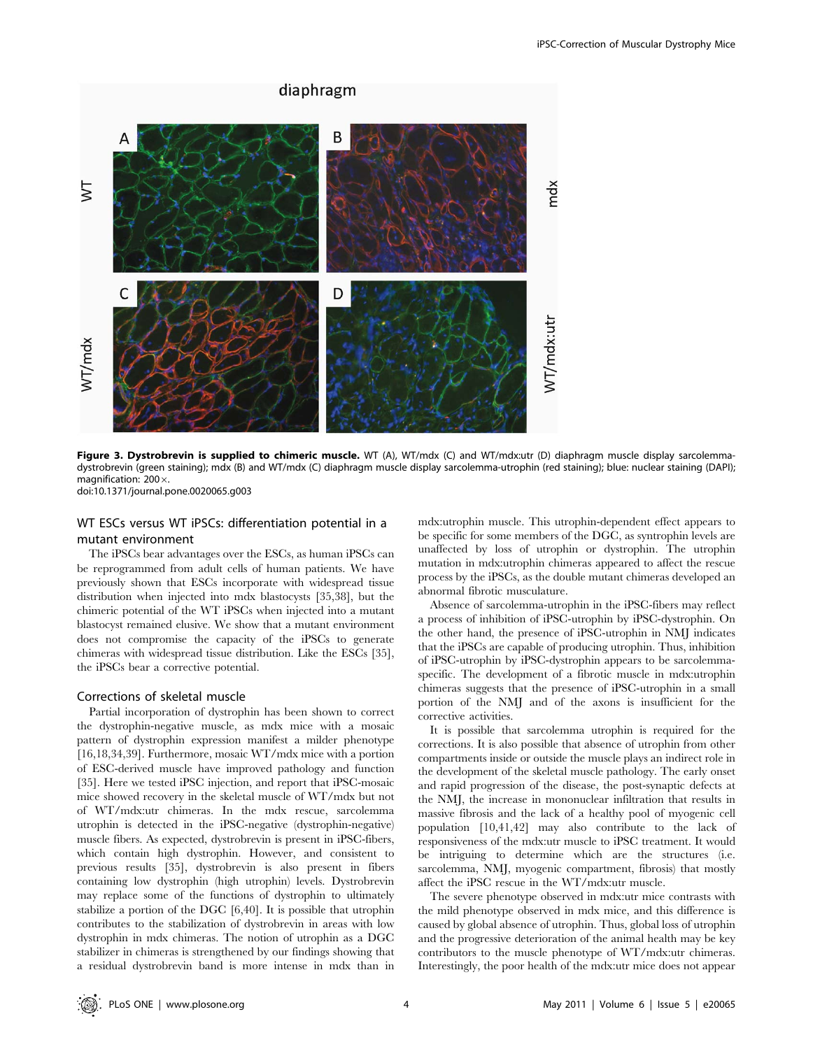

Figure 3. Dystrobrevin is supplied to chimeric muscle. WT (A), WT/mdx (C) and WT/mdx:utr (D) diaphragm muscle display sarcolemmadystrobrevin (green staining); mdx (B) and WT/mdx (C) diaphragm muscle display sarcolemma-utrophin (red staining); blue: nuclear staining (DAPI); magnification:  $200 \times$ . doi:10.1371/journal.pone.0020065.g003

# WT ESCs versus WT iPSCs: differentiation potential in a mutant environment

The iPSCs bear advantages over the ESCs, as human iPSCs can be reprogrammed from adult cells of human patients. We have previously shown that ESCs incorporate with widespread tissue distribution when injected into mdx blastocysts [35,38], but the chimeric potential of the WT iPSCs when injected into a mutant blastocyst remained elusive. We show that a mutant environment does not compromise the capacity of the iPSCs to generate chimeras with widespread tissue distribution. Like the ESCs [35], the iPSCs bear a corrective potential.

# Corrections of skeletal muscle

Partial incorporation of dystrophin has been shown to correct the dystrophin-negative muscle, as mdx mice with a mosaic pattern of dystrophin expression manifest a milder phenotype [16,18,34,39]. Furthermore, mosaic WT/mdx mice with a portion of ESC-derived muscle have improved pathology and function [35]. Here we tested iPSC injection, and report that iPSC-mosaic mice showed recovery in the skeletal muscle of WT/mdx but not of WT/mdx:utr chimeras. In the mdx rescue, sarcolemma utrophin is detected in the iPSC-negative (dystrophin-negative) muscle fibers. As expected, dystrobrevin is present in iPSC-fibers, which contain high dystrophin. However, and consistent to previous results [35], dystrobrevin is also present in fibers containing low dystrophin (high utrophin) levels. Dystrobrevin may replace some of the functions of dystrophin to ultimately stabilize a portion of the DGC [6,40]. It is possible that utrophin contributes to the stabilization of dystrobrevin in areas with low dystrophin in mdx chimeras. The notion of utrophin as a DGC stabilizer in chimeras is strengthened by our findings showing that a residual dystrobrevin band is more intense in mdx than in mdx:utrophin muscle. This utrophin-dependent effect appears to be specific for some members of the DGC, as syntrophin levels are unaffected by loss of utrophin or dystrophin. The utrophin mutation in mdx:utrophin chimeras appeared to affect the rescue process by the iPSCs, as the double mutant chimeras developed an abnormal fibrotic musculature.

Absence of sarcolemma-utrophin in the iPSC-fibers may reflect a process of inhibition of iPSC-utrophin by iPSC-dystrophin. On the other hand, the presence of iPSC-utrophin in NMJ indicates that the iPSCs are capable of producing utrophin. Thus, inhibition of iPSC-utrophin by iPSC-dystrophin appears to be sarcolemmaspecific. The development of a fibrotic muscle in mdx:utrophin chimeras suggests that the presence of iPSC-utrophin in a small portion of the NMJ and of the axons is insufficient for the corrective activities.

It is possible that sarcolemma utrophin is required for the corrections. It is also possible that absence of utrophin from other compartments inside or outside the muscle plays an indirect role in the development of the skeletal muscle pathology. The early onset and rapid progression of the disease, the post-synaptic defects at the NMJ, the increase in mononuclear infiltration that results in massive fibrosis and the lack of a healthy pool of myogenic cell population [10,41,42] may also contribute to the lack of responsiveness of the mdx:utr muscle to iPSC treatment. It would be intriguing to determine which are the structures (i.e. sarcolemma, NMJ, myogenic compartment, fibrosis) that mostly affect the iPSC rescue in the WT/mdx:utr muscle.

The severe phenotype observed in mdx:utr mice contrasts with the mild phenotype observed in mdx mice, and this difference is caused by global absence of utrophin. Thus, global loss of utrophin and the progressive deterioration of the animal health may be key contributors to the muscle phenotype of WT/mdx:utr chimeras. Interestingly, the poor health of the mdx:utr mice does not appear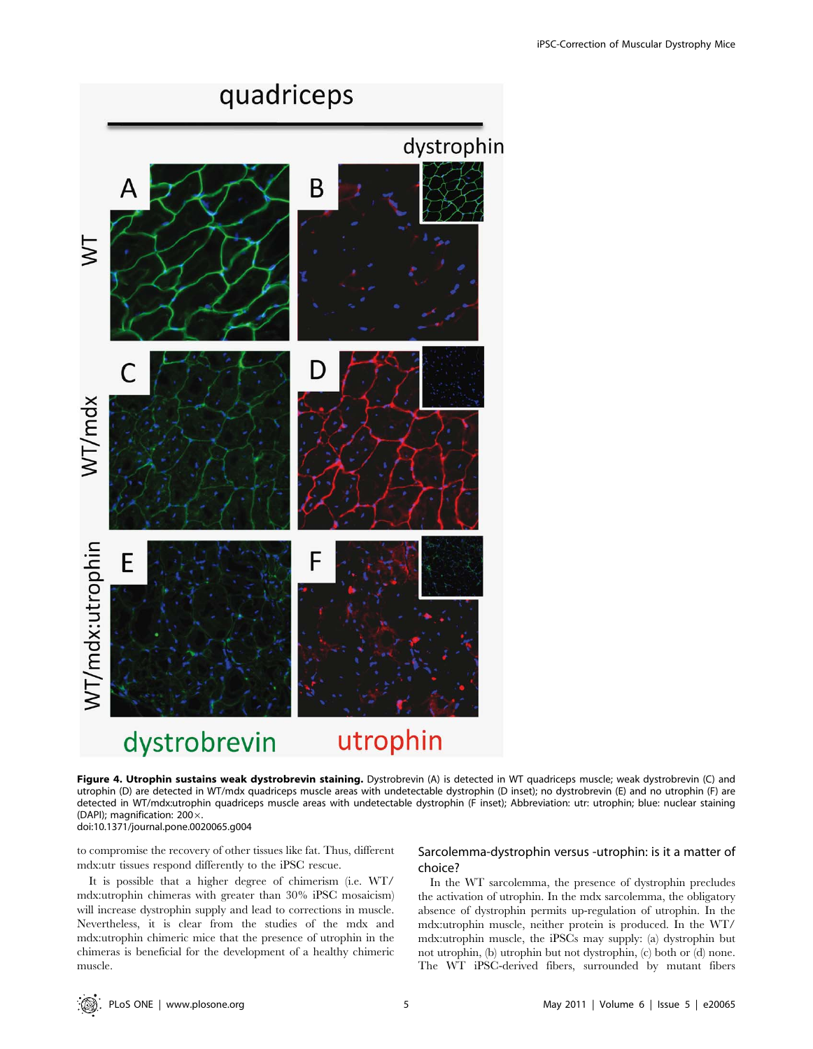

Figure 4. Utrophin sustains weak dystrobrevin staining. Dystrobrevin (A) is detected in WT quadriceps muscle; weak dystrobrevin (C) and utrophin (D) are detected in WT/mdx quadriceps muscle areas with undetectable dystrophin (D inset); no dystrobrevin (E) and no utrophin (F) are detected in WT/mdx:utrophin quadriceps muscle areas with undetectable dystrophin (F inset); Abbreviation: utr: utrophin; blue: nuclear staining (DAPI); magnification:  $200 \times$ . doi:10.1371/journal.pone.0020065.g004

to compromise the recovery of other tissues like fat. Thus, different mdx:utr tissues respond differently to the iPSC rescue.

It is possible that a higher degree of chimerism (i.e. WT/ mdx:utrophin chimeras with greater than 30% iPSC mosaicism) will increase dystrophin supply and lead to corrections in muscle. Nevertheless, it is clear from the studies of the mdx and mdx:utrophin chimeric mice that the presence of utrophin in the chimeras is beneficial for the development of a healthy chimeric muscle.

# Sarcolemma-dystrophin versus -utrophin: is it a matter of choice?

In the WT sarcolemma, the presence of dystrophin precludes the activation of utrophin. In the mdx sarcolemma, the obligatory absence of dystrophin permits up-regulation of utrophin. In the mdx:utrophin muscle, neither protein is produced. In the WT/ mdx:utrophin muscle, the iPSCs may supply: (a) dystrophin but not utrophin, (b) utrophin but not dystrophin, (c) both or (d) none. The WT iPSC-derived fibers, surrounded by mutant fibers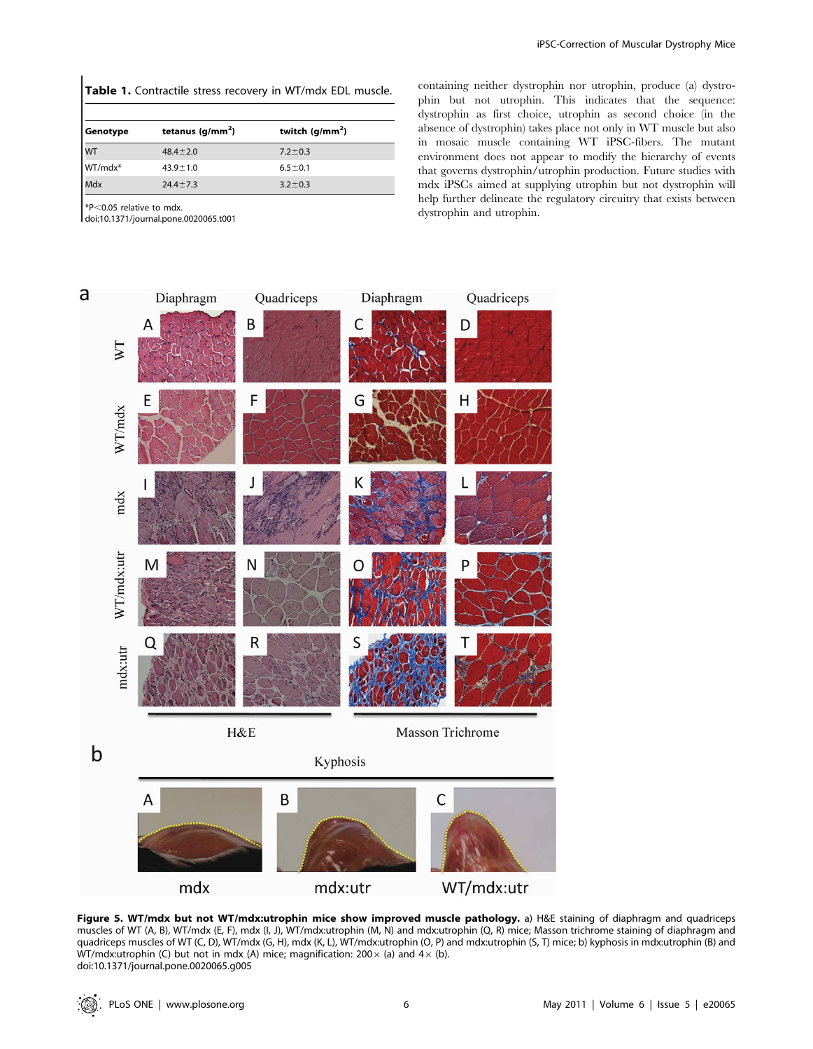|  |  | Table 1. Contractile stress recovery in WT/mdx EDL muscle. |  |  |  |  |  |  |
|--|--|------------------------------------------------------------|--|--|--|--|--|--|
|--|--|------------------------------------------------------------|--|--|--|--|--|--|

| Genotype  | tetanus $(g/mm2)$ | twitch $(g/mm2)$ |
|-----------|-------------------|------------------|
| <b>WT</b> | $48.4 \pm 2.0$    | $7.2 \pm 0.3$    |
| WT/mdx*   | $43.9 \pm 1.0$    | $6.5 \pm 0.1$    |
| Mdx       | $24.4 \pm 7.3$    | $3.2 \pm 0.3$    |

 $*P<0.05$  relative to mdx.

doi:10.1371/journal.pone.0020065.t001

containing neither dystrophin nor utrophin, produce (a) dystrophin but not utrophin. This indicates that the sequence: dystrophin as first choice, utrophin as second choice (in the absence of dystrophin) takes place not only in WT muscle but also in mosaic muscle containing WT iPSC-fibers. The mutant environment does not appear to modify the hierarchy of events that governs dystrophin/utrophin production. Future studies with mdx iPSCs aimed at supplying utrophin but not dystrophin will help further delineate the regulatory circuitry that exists between dystrophin and utrophin.



Figure 5. WT/mdx but not WT/mdx:utrophin mice show improved muscle pathology. a) H&E staining of diaphragm and quadriceps muscles of WT (A, B), WT/mdx (E, F), mdx (I, J), WT/mdx:utrophin (M, N) and mdx:utrophin (Q, R) mice; Masson trichrome staining of diaphragm and quadriceps muscles of WT (C, D), WT/mdx (G, H), mdx (K, L), WT/mdx:utrophin (O, P) and mdx:utrophin (S, T) mice; b) kyphosis in mdx:utrophin (B) and WT/mdx:utrophin (C) but not in mdx (A) mice; magnification:  $200 \times$  (a) and  $4 \times$  (b). doi:10.1371/journal.pone.0020065.g005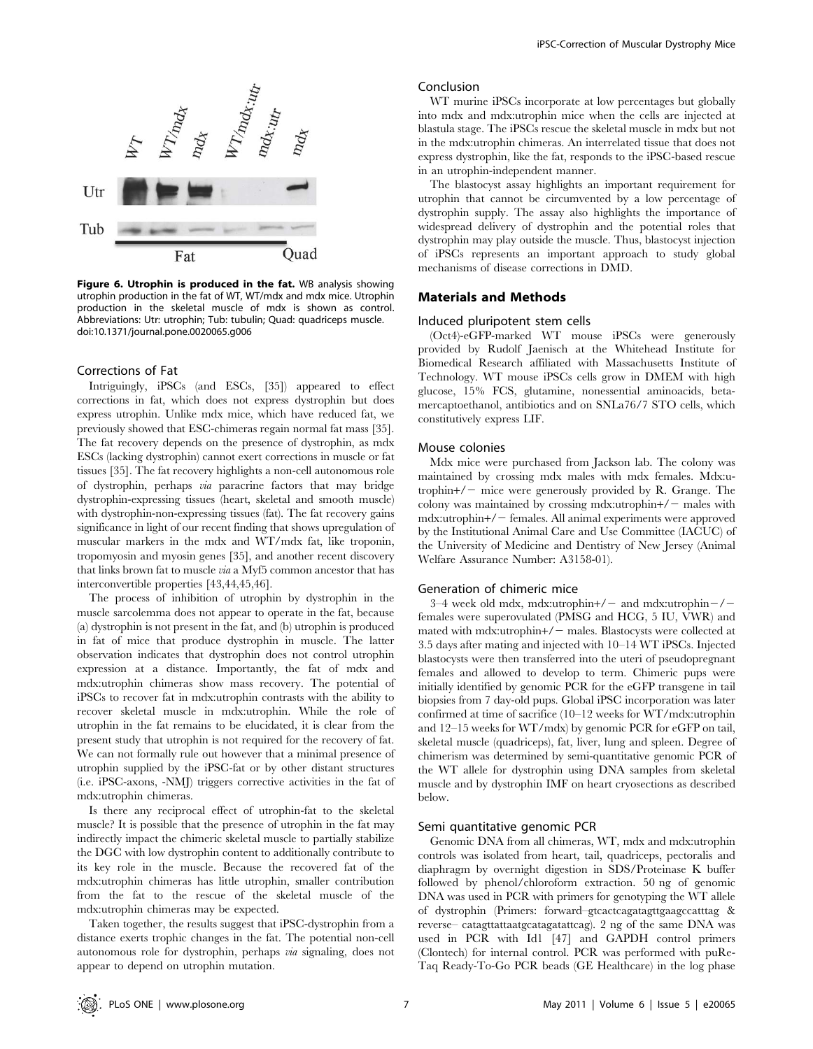

Figure 6. Utrophin is produced in the fat. WB analysis showing utrophin production in the fat of WT, WT/mdx and mdx mice. Utrophin production in the skeletal muscle of mdx is shown as control. Abbreviations: Utr: utrophin; Tub: tubulin; Quad: quadriceps muscle. doi:10.1371/journal.pone.0020065.g006

## Corrections of Fat

Intriguingly, iPSCs (and ESCs, [35]) appeared to effect corrections in fat, which does not express dystrophin but does express utrophin. Unlike mdx mice, which have reduced fat, we previously showed that ESC-chimeras regain normal fat mass [35]. The fat recovery depends on the presence of dystrophin, as mdx ESCs (lacking dystrophin) cannot exert corrections in muscle or fat tissues [35]. The fat recovery highlights a non-cell autonomous role of dystrophin, perhaps via paracrine factors that may bridge dystrophin-expressing tissues (heart, skeletal and smooth muscle) with dystrophin-non-expressing tissues (fat). The fat recovery gains significance in light of our recent finding that shows upregulation of muscular markers in the mdx and WT/mdx fat, like troponin, tropomyosin and myosin genes [35], and another recent discovery that links brown fat to muscle via a Myf5 common ancestor that has interconvertible properties [43,44,45,46].

The process of inhibition of utrophin by dystrophin in the muscle sarcolemma does not appear to operate in the fat, because (a) dystrophin is not present in the fat, and (b) utrophin is produced in fat of mice that produce dystrophin in muscle. The latter observation indicates that dystrophin does not control utrophin expression at a distance. Importantly, the fat of mdx and mdx:utrophin chimeras show mass recovery. The potential of iPSCs to recover fat in mdx:utrophin contrasts with the ability to recover skeletal muscle in mdx:utrophin. While the role of utrophin in the fat remains to be elucidated, it is clear from the present study that utrophin is not required for the recovery of fat. We can not formally rule out however that a minimal presence of utrophin supplied by the iPSC-fat or by other distant structures (i.e. iPSC-axons, -NMJ) triggers corrective activities in the fat of mdx:utrophin chimeras.

Is there any reciprocal effect of utrophin-fat to the skeletal muscle? It is possible that the presence of utrophin in the fat may indirectly impact the chimeric skeletal muscle to partially stabilize the DGC with low dystrophin content to additionally contribute to its key role in the muscle. Because the recovered fat of the mdx:utrophin chimeras has little utrophin, smaller contribution from the fat to the rescue of the skeletal muscle of the mdx:utrophin chimeras may be expected.

Taken together, the results suggest that iPSC-dystrophin from a distance exerts trophic changes in the fat. The potential non-cell autonomous role for dystrophin, perhaps via signaling, does not appear to depend on utrophin mutation.

#### Conclusion

WT murine iPSCs incorporate at low percentages but globally into mdx and mdx:utrophin mice when the cells are injected at blastula stage. The iPSCs rescue the skeletal muscle in mdx but not in the mdx:utrophin chimeras. An interrelated tissue that does not express dystrophin, like the fat, responds to the iPSC-based rescue in an utrophin-independent manner.

The blastocyst assay highlights an important requirement for utrophin that cannot be circumvented by a low percentage of dystrophin supply. The assay also highlights the importance of widespread delivery of dystrophin and the potential roles that dystrophin may play outside the muscle. Thus, blastocyst injection of iPSCs represents an important approach to study global mechanisms of disease corrections in DMD.

# Materials and Methods

#### Induced pluripotent stem cells

(Oct4)-eGFP-marked WT mouse iPSCs were generously provided by Rudolf Jaenisch at the Whitehead Institute for Biomedical Research affiliated with Massachusetts Institute of Technology. WT mouse iPSCs cells grow in DMEM with high glucose, 15% FCS, glutamine, nonessential aminoacids, betamercaptoethanol, antibiotics and on SNLa76/7 STO cells, which constitutively express LIF.

## Mouse colonies

Mdx mice were purchased from Jackson lab. The colony was maintained by crossing mdx males with mdx females. Mdx:utrophin $+/-$  mice were generously provided by R. Grange. The colony was maintained by crossing mdx:utrophin $+/-$  males with mdx:utrophin+/2 females. All animal experiments were approved by the Institutional Animal Care and Use Committee (IACUC) of the University of Medicine and Dentistry of New Jersey (Animal Welfare Assurance Number: A3158-01).

#### Generation of chimeric mice

3–4 week old mdx, mdx:utrophin+ $/$  – and mdx:utrophin – $/$  – females were superovulated (PMSG and HCG, 5 IU, VWR) and mated with mdx:utrophin $+/-$  males. Blastocysts were collected at 3.5 days after mating and injected with 10–14 WT iPSCs. Injected blastocysts were then transferred into the uteri of pseudopregnant females and allowed to develop to term. Chimeric pups were initially identified by genomic PCR for the eGFP transgene in tail biopsies from 7 day-old pups. Global iPSC incorporation was later confirmed at time of sacrifice (10–12 weeks for WT/mdx:utrophin and 12–15 weeks for WT/mdx) by genomic PCR for eGFP on tail, skeletal muscle (quadriceps), fat, liver, lung and spleen. Degree of chimerism was determined by semi-quantitative genomic PCR of the WT allele for dystrophin using DNA samples from skeletal muscle and by dystrophin IMF on heart cryosections as described below.

#### Semi quantitative genomic PCR

Genomic DNA from all chimeras, WT, mdx and mdx:utrophin controls was isolated from heart, tail, quadriceps, pectoralis and diaphragm by overnight digestion in SDS/Proteinase K buffer followed by phenol/chloroform extraction. 50 ng of genomic DNA was used in PCR with primers for genotyping the WT allele of dystrophin (Primers: forward–gtcactcagatagttgaagccatttag & reverse– catagttattaatgcatagatattcag). 2 ng of the same DNA was used in PCR with Id1 [47] and GAPDH control primers (Clontech) for internal control. PCR was performed with puRe-Taq Ready-To-Go PCR beads (GE Healthcare) in the log phase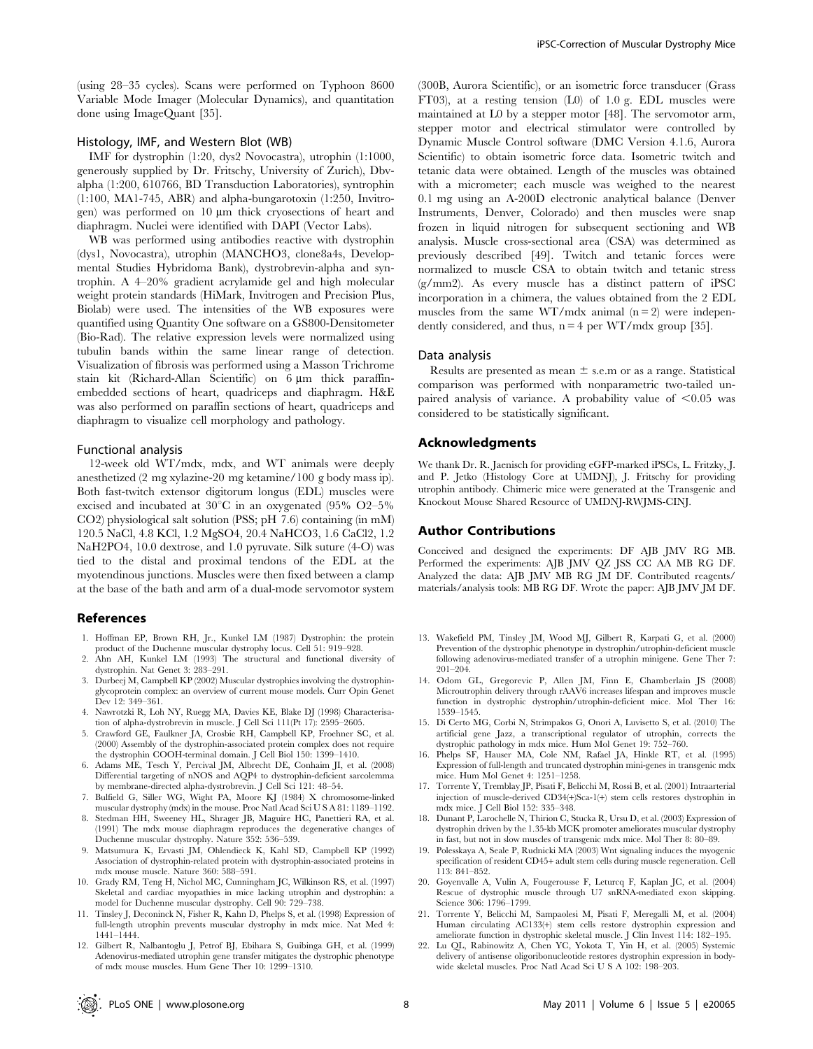(using 28–35 cycles). Scans were performed on Typhoon 8600 Variable Mode Imager (Molecular Dynamics), and quantitation done using ImageQuant [35].

## Histology, IMF, and Western Blot (WB)

IMF for dystrophin (1:20, dys2 Novocastra), utrophin (1:1000, generously supplied by Dr. Fritschy, University of Zurich), Dbvalpha (1:200, 610766, BD Transduction Laboratories), syntrophin (1:100, MA1-745, ABR) and alpha-bungarotoxin (1:250, Invitrogen) was performed on  $10 \mu m$  thick cryosections of heart and diaphragm. Nuclei were identified with DAPI (Vector Labs).

WB was performed using antibodies reactive with dystrophin (dys1, Novocastra), utrophin (MANCHO3, clone8a4s, Developmental Studies Hybridoma Bank), dystrobrevin-alpha and syntrophin. A 4–20% gradient acrylamide gel and high molecular weight protein standards (HiMark, Invitrogen and Precision Plus, Biolab) were used. The intensities of the WB exposures were quantified using Quantity One software on a GS800-Densitometer (Bio-Rad). The relative expression levels were normalized using tubulin bands within the same linear range of detection. Visualization of fibrosis was performed using a Masson Trichrome stain kit (Richard-Allan Scientific) on  $6 \mu m$  thick paraffinembedded sections of heart, quadriceps and diaphragm. H&E was also performed on paraffin sections of heart, quadriceps and diaphragm to visualize cell morphology and pathology.

#### Functional analysis

12-week old WT/mdx, mdx, and WT animals were deeply anesthetized (2 mg xylazine-20 mg ketamine/100 g body mass ip). Both fast-twitch extensor digitorum longus (EDL) muscles were excised and incubated at  $30^{\circ}$ C in an oxygenated (95% O2–5%) CO2) physiological salt solution (PSS; pH 7.6) containing (in mM) 120.5 NaCl, 4.8 KCl, 1.2 MgSO4, 20.4 NaHCO3, 1.6 CaCl2, 1.2 NaH2PO4, 10.0 dextrose, and 1.0 pyruvate. Silk suture (4-O) was tied to the distal and proximal tendons of the EDL at the myotendinous junctions. Muscles were then fixed between a clamp at the base of the bath and arm of a dual-mode servomotor system

## References

- 1. Hoffman EP, Brown RH, Jr., Kunkel LM (1987) Dystrophin: the protein product of the Duchenne muscular dystrophy locus. Cell 51: 919–928.
- 2. Ahn AH, Kunkel LM (1993) The structural and functional diversity of dystrophin. Nat Genet 3: 283–291.
- 3. Durbeej M, Campbell KP (2002) Muscular dystrophies involving the dystrophinglycoprotein complex: an overview of current mouse models. Curr Opin Genet Dev 12: 349–361.
- 4. Nawrotzki R, Loh NY, Ruegg MA, Davies KE, Blake DJ (1998) Characterisation of alpha-dystrobrevin in muscle. J Cell Sci 111(Pt 17): 2595–2605.
- 5. Crawford GE, Faulkner JA, Crosbie RH, Campbell KP, Froehner SC, et al. (2000) Assembly of the dystrophin-associated protein complex does not require the dystrophin COOH-terminal domain. J Cell Biol 150: 1399–1410.
- 6. Adams ME, Tesch Y, Percival JM, Albrecht DE, Conhaim JI, et al. (2008) Differential targeting of nNOS and AQP4 to dystrophin-deficient sarcolemma by membrane-directed alpha-dystrobrevin. J Cell Sci 121: 48–54.
- 7. Bulfield G, Siller WG, Wight PA, Moore KJ (1984) X chromosome-linked muscular dystrophy (mdx) in the mouse. Proc Natl Acad Sci U S A 81: 1189–1192.
- 8. Stedman HH, Sweeney HL, Shrager JB, Maguire HC, Panettieri RA, et al. (1991) The mdx mouse diaphragm reproduces the degenerative changes of Duchenne muscular dystrophy. Nature 352: 536–539.
- 9. Matsumura K, Ervasti JM, Ohlendieck K, Kahl SD, Campbell KP (1992) Association of dystrophin-related protein with dystrophin-associated proteins in mdx mouse muscle. Nature 360: 588–591.
- 10. Grady RM, Teng H, Nichol MC, Cunningham JC, Wilkinson RS, et al. (1997) Skeletal and cardiac myopathies in mice lacking utrophin and dystrophin: a model for Duchenne muscular dystrophy. Cell 90: 729–738.
- 11. Tinsley J, Deconinck N, Fisher R, Kahn D, Phelps S, et al. (1998) Expression of full-length utrophin prevents muscular dystrophy in mdx mice. Nat Med 4: 1441–1444.
- 12. Gilbert R, Nalbantoglu J, Petrof BJ, Ebihara S, Guibinga GH, et al. (1999) Adenovirus-mediated utrophin gene transfer mitigates the dystrophic phenotype of mdx mouse muscles. Hum Gene Ther 10: 1299–1310.

(300B, Aurora Scientific), or an isometric force transducer (Grass FT03), at a resting tension (L0) of 1.0 g. EDL muscles were maintained at L0 by a stepper motor [48]. The servomotor arm, stepper motor and electrical stimulator were controlled by Dynamic Muscle Control software (DMC Version 4.1.6, Aurora Scientific) to obtain isometric force data. Isometric twitch and tetanic data were obtained. Length of the muscles was obtained with a micrometer; each muscle was weighed to the nearest 0.1 mg using an A-200D electronic analytical balance (Denver Instruments, Denver, Colorado) and then muscles were snap frozen in liquid nitrogen for subsequent sectioning and WB analysis. Muscle cross-sectional area (CSA) was determined as previously described [49]. Twitch and tetanic forces were normalized to muscle CSA to obtain twitch and tetanic stress (g/mm2). As every muscle has a distinct pattern of iPSC incorporation in a chimera, the values obtained from the 2 EDL muscles from the same  $WT/mdx$  animal  $(n = 2)$  were independently considered, and thus,  $n = 4$  per WT/mdx group [35].

### Data analysis

Results are presented as mean  $\pm$  s.e.m or as a range. Statistical comparison was performed with nonparametric two-tailed unpaired analysis of variance. A probability value of  $\leq 0.05$  was considered to be statistically significant.

#### Acknowledgments

We thank Dr. R. Jaenisch for providing eGFP-marked iPSCs, L. Fritzky, J. and P. Jetko (Histology Core at UMDNJ), J. Fritschy for providing utrophin antibody. Chimeric mice were generated at the Transgenic and Knockout Mouse Shared Resource of UMDNJ-RWJMS-CINJ.

### Author Contributions

Conceived and designed the experiments: DF AJB JMV RG MB. Performed the experiments: AJB JMV QZ JSS CC AA MB RG DF. Analyzed the data: AJB JMV MB RG JM DF. Contributed reagents/ materials/analysis tools: MB RG DF. Wrote the paper: AJB JMV JM DF.

- 13. Wakefield PM, Tinsley JM, Wood MJ, Gilbert R, Karpati G, et al. (2000) Prevention of the dystrophic phenotype in dystrophin/utrophin-deficient muscle following adenovirus-mediated transfer of a utrophin minigene. Gene Ther 7: 201–204.
- 14. Odom GL, Gregorevic P, Allen JM, Finn E, Chamberlain JS (2008) Microutrophin delivery through rAAV6 increases lifespan and improves muscle function in dystrophic dystrophin/utrophin-deficient mice. Mol Ther 16: 1539–1545.
- 15. Di Certo MG, Corbi N, Strimpakos G, Onori A, Luvisetto S, et al. (2010) The artificial gene Jazz, a transcriptional regulator of utrophin, corrects the dystrophic pathology in mdx mice. Hum Mol Genet 19: 752–760.
- 16. Phelps SF, Hauser MA, Cole NM, Rafael JA, Hinkle RT, et al. (1995) Expression of full-length and truncated dystrophin mini-genes in transgenic mdx mice. Hum Mol Genet 4: 1251–1258.
- 17. Torrente Y, Tremblay JP, Pisati F, Belicchi M, Rossi B, et al. (2001) Intraarterial injection of muscle-derived CD34(+)Sca-1(+) stem cells restores dystrophin in mdx mice. J Cell Biol 152: 335–348.
- 18. Dunant P, Larochelle N, Thirion C, Stucka R, Ursu D, et al. (2003) Expression of dystrophin driven by the 1.35-kb MCK promoter ameliorates muscular dystrophy in fast, but not in slow muscles of transgenic mdx mice. Mol Ther 8: 80–89.
- 19. Polesskaya A, Seale P, Rudnicki MA (2003) Wnt signaling induces the myogenic specification of resident CD45+ adult stem cells during muscle regeneration. Cell 113: 841–852.
- 20. Goyenvalle A, Vulin A, Fougerousse F, Leturcq F, Kaplan JC, et al. (2004) Rescue of dystrophic muscle through U7 snRNA-mediated exon skipping. Science 306: 1796–1799.
- 21. Torrente Y, Belicchi M, Sampaolesi M, Pisati F, Meregalli M, et al. (2004) Human circulating AC133(+) stem cells restore dystrophin expression and ameliorate function in dystrophic skeletal muscle. J Clin Invest 114: 182–195.
- 22. Lu QL, Rabinowitz A, Chen YC, Yokota T, Yin H, et al. (2005) Systemic delivery of antisense oligoribonucleotide restores dystrophin expression in bodywide skeletal muscles. Proc Natl Acad Sci U S A 102: 198–203.